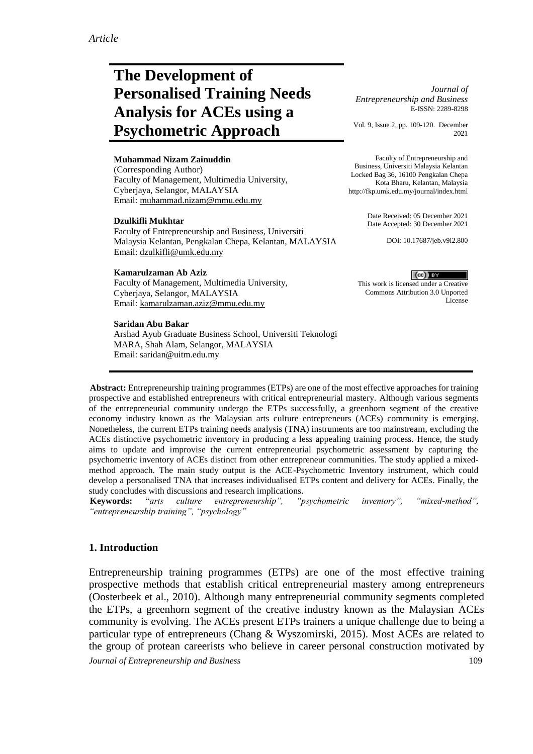# **The Development of Personalised Training Needs Analysis for ACEs using a Psychometric Approach**

#### **Muhammad Nizam Zainuddin**

(Corresponding Author) Faculty of Management, Multimedia University, Cyberjaya, Selangor, MALAYSIA Email: [muhammad.nizam@mmu.edu.my](mailto:muhammad.nizam@mmu.edu.my)

#### **Dzulkifli Mukhtar**

Faculty of Entrepreneurship and Business, Universiti Malaysia Kelantan, Pengkalan Chepa, Kelantan, MALAYSIA Email: [dzulkifli@umk.edu.my](mailto:dzulkifli@umk.edu.my)

#### **Kamarulzaman Ab Aziz**

Faculty of Management, Multimedia University, Cyberjaya, Selangor, MALAYSIA Email: [kamarulzaman.aziz@mmu.edu.my](mailto:kamarulzaman.aziz@mmu.edu.my)

#### **Saridan Abu Bakar**

Arshad Ayub Graduate Business School, Universiti Teknologi MARA, Shah Alam, Selangor, MALAYSIA Email: saridan@uitm.edu.my

*Journal of Entrepreneurship and Business* E-ISSN: 2289-8298

Vol. 9, Issue 2, pp. 109-120. December 2021

Faculty of Entrepreneurship and Business, Universiti Malaysia Kelantan Locked Bag 36, 16100 Pengkalan Chepa Kota Bharu, Kelantan, Malaysia http://fkp.umk.edu.my/journal/index.html

> Date Received: 05 December 2021 Date Accepted: 30 December 2021

> > DOI: 10.17687/jeb.v9i2.800

 $(cc)$  BY This work is licensed under a Creative Commons Attribution 3.0 Unported License

**Abstract:** Entrepreneurship training programmes (ETPs) are one of the most effective approaches for training prospective and established entrepreneurs with critical entrepreneurial mastery. Although various segments of the entrepreneurial community undergo the ETPs successfully, a greenhorn segment of the creative economy industry known as the Malaysian arts culture entrepreneurs (ACEs) community is emerging. Nonetheless, the current ETPs training needs analysis (TNA) instruments are too mainstream, excluding the ACEs distinctive psychometric inventory in producing a less appealing training process. Hence, the study aims to update and improvise the current entrepreneurial psychometric assessment by capturing the psychometric inventory of ACEs distinct from other entrepreneur communities. The study applied a mixedmethod approach. The main study output is the ACE-Psychometric Inventory instrument, which could develop a personalised TNA that increases individualised ETPs content and delivery for ACEs. Finally, the study concludes with discussions and research implications.

**Keywords:** "*arts culture entrepreneurship", "psychometric inventory", "mixed-method", "entrepreneurship training", "psychology"*

## **1. Introduction**

*Journal of Entrepreneurship and Business* 109 Entrepreneurship training programmes (ETPs) are one of the most effective training prospective methods that establish critical entrepreneurial mastery among entrepreneurs (Oosterbeek et al., 2010). Although many entrepreneurial community segments completed the ETPs, a greenhorn segment of the creative industry known as the Malaysian ACEs community is evolving. The ACEs present ETPs trainers a unique challenge due to being a particular type of entrepreneurs (Chang & Wyszomirski, 2015). Most ACEs are related to the group of protean careerists who believe in career personal construction motivated by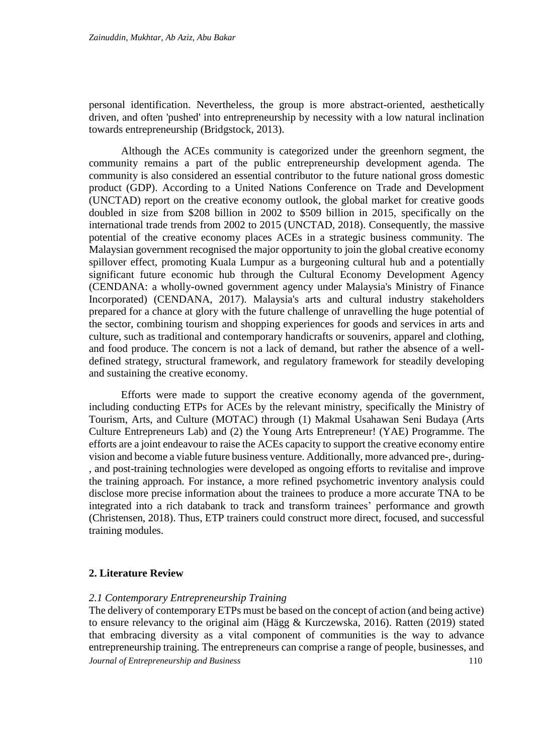personal identification. Nevertheless, the group is more abstract-oriented, aesthetically driven, and often 'pushed' into entrepreneurship by necessity with a low natural inclination towards entrepreneurship (Bridgstock, 2013).

Although the ACEs community is categorized under the greenhorn segment, the community remains a part of the public entrepreneurship development agenda. The community is also considered an essential contributor to the future national gross domestic product (GDP). According to a United Nations Conference on Trade and Development (UNCTAD) report on the creative economy outlook, the global market for creative goods doubled in size from \$208 billion in 2002 to \$509 billion in 2015, specifically on the international trade trends from 2002 to 2015 (UNCTAD, 2018). Consequently, the massive potential of the creative economy places ACEs in a strategic business community. The Malaysian government recognised the major opportunity to join the global creative economy spillover effect, promoting Kuala Lumpur as a burgeoning cultural hub and a potentially significant future economic hub through the Cultural Economy Development Agency (CENDANA: a wholly-owned government agency under Malaysia's Ministry of Finance Incorporated) (CENDANA, 2017). Malaysia's arts and cultural industry stakeholders prepared for a chance at glory with the future challenge of unravelling the huge potential of the sector, combining tourism and shopping experiences for goods and services in arts and culture, such as traditional and contemporary handicrafts or souvenirs, apparel and clothing, and food produce. The concern is not a lack of demand, but rather the absence of a welldefined strategy, structural framework, and regulatory framework for steadily developing and sustaining the creative economy.

Efforts were made to support the creative economy agenda of the government, including conducting ETPs for ACEs by the relevant ministry, specifically the Ministry of Tourism, Arts, and Culture (MOTAC) through (1) Makmal Usahawan Seni Budaya (Arts Culture Entrepreneurs Lab) and (2) the Young Arts Entrepreneur! (YAE) Programme. The efforts are a joint endeavour to raise the ACEs capacity to support the creative economy entire vision and become a viable future business venture. Additionally, more advanced pre-, during- , and post-training technologies were developed as ongoing efforts to revitalise and improve the training approach. For instance, a more refined psychometric inventory analysis could disclose more precise information about the trainees to produce a more accurate TNA to be integrated into a rich databank to track and transform trainees' performance and growth (Christensen, 2018). Thus, ETP trainers could construct more direct, focused, and successful training modules.

## **2. Literature Review**

## *2.1 Contemporary Entrepreneurship Training*

*Journal of Entrepreneurship and Business* 110 The delivery of contemporary ETPs must be based on the concept of action (and being active) to ensure relevancy to the original aim (Hägg & Kurczewska, 2016). Ratten (2019) stated that embracing diversity as a vital component of communities is the way to advance entrepreneurship training. The entrepreneurs can comprise a range of people, businesses, and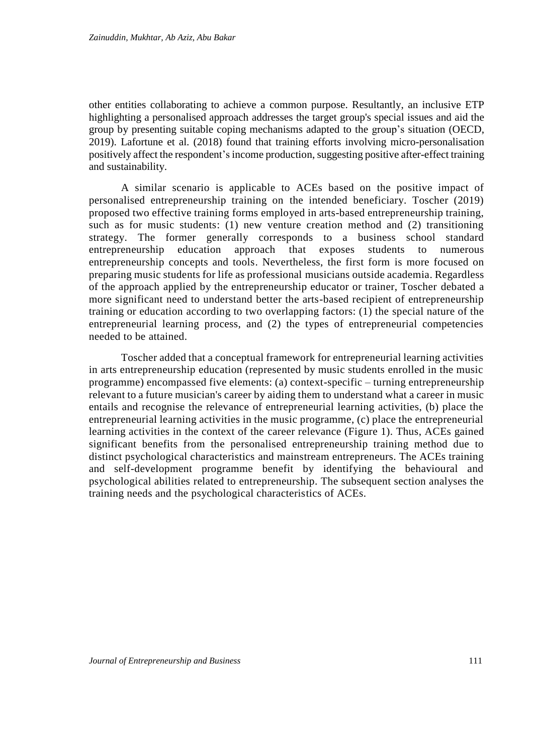other entities collaborating to achieve a common purpose. Resultantly, an inclusive ETP highlighting a personalised approach addresses the target group's special issues and aid the group by presenting suitable coping mechanisms adapted to the group's situation (OECD, 2019). Lafortune et al. (2018) found that training efforts involving micro-personalisation positively affect the respondent'sincome production, suggesting positive after-effect training and sustainability.

A similar scenario is applicable to ACEs based on the positive impact of personalised entrepreneurship training on the intended beneficiary. Toscher (2019) proposed two effective training forms employed in arts-based entrepreneurship training, such as for music students: (1) new venture creation method and (2) transitioning strategy. The former generally corresponds to a business school standard entrepreneurship education approach that exposes students to numerous entrepreneurship concepts and tools. Nevertheless, the first form is more focused on preparing music students for life as professional musicians outside academia. Regardless of the approach applied by the entrepreneurship educator or trainer, Toscher debated a more significant need to understand better the arts-based recipient of entrepreneurship training or education according to two overlapping factors: (1) the special nature of the entrepreneurial learning process, and (2) the types of entrepreneurial competencies needed to be attained.

Toscher added that a conceptual framework for entrepreneurial learning activities in arts entrepreneurship education (represented by music students enrolled in the music programme) encompassed five elements: (a) context-specific – turning entrepreneurship relevant to a future musician's career by aiding them to understand what a career in music entails and recognise the relevance of entrepreneurial learning activities, (b) place the entrepreneurial learning activities in the music programme, (c) place the entrepreneurial learning activities in the context of the career relevance (Figure 1). Thus, ACEs gained significant benefits from the personalised entrepreneurship training method due to distinct psychological characteristics and mainstream entrepreneurs. The ACEs training and self-development programme benefit by identifying the behavioural and psychological abilities related to entrepreneurship. The subsequent section analyses the training needs and the psychological characteristics of ACEs.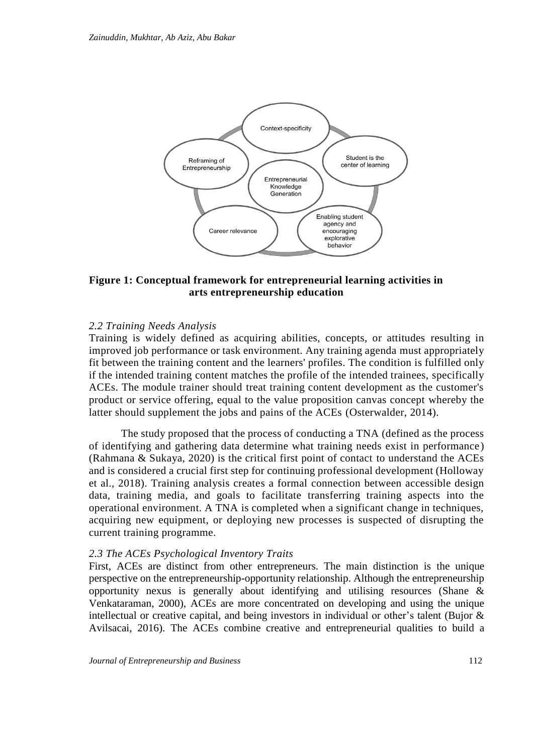

# **Figure 1: Conceptual framework for entrepreneurial learning activities in arts entrepreneurship education**

## *2.2 Training Needs Analysis*

Training is widely defined as acquiring abilities, concepts, or attitudes resulting in improved job performance or task environment. Any training agenda must appropriately fit between the training content and the learners' profiles. The condition is fulfilled only if the intended training content matches the profile of the intended trainees, specifically ACEs. The module trainer should treat training content development as the customer's product or service offering, equal to the value proposition canvas concept whereby the latter should supplement the jobs and pains of the ACEs (Osterwalder, 2014).

The study proposed that the process of conducting a TNA (defined as the process of identifying and gathering data determine what training needs exist in performance ) (Rahmana & Sukaya, 2020) is the critical first point of contact to understand the ACEs and is considered a crucial first step for continuing professional development (Holloway et al., 2018). Training analysis creates a formal connection between accessible design data, training media, and goals to facilitate transferring training aspects into the operational environment. A TNA is completed when a significant change in techniques, acquiring new equipment, or deploying new processes is suspected of disrupting the current training programme.

### *2.3 The ACEs Psychological Inventory Traits*

First, ACEs are distinct from other entrepreneurs. The main distinction is the unique perspective on the entrepreneurship-opportunity relationship. Although the entrepreneurship opportunity nexus is generally about identifying and utilising resources (Shane & Venkataraman, 2000), ACEs are more concentrated on developing and using the unique intellectual or creative capital, and being investors in individual or other's talent (Bujor & Avilsacai, 2016). The ACEs combine creative and entrepreneurial qualities to build a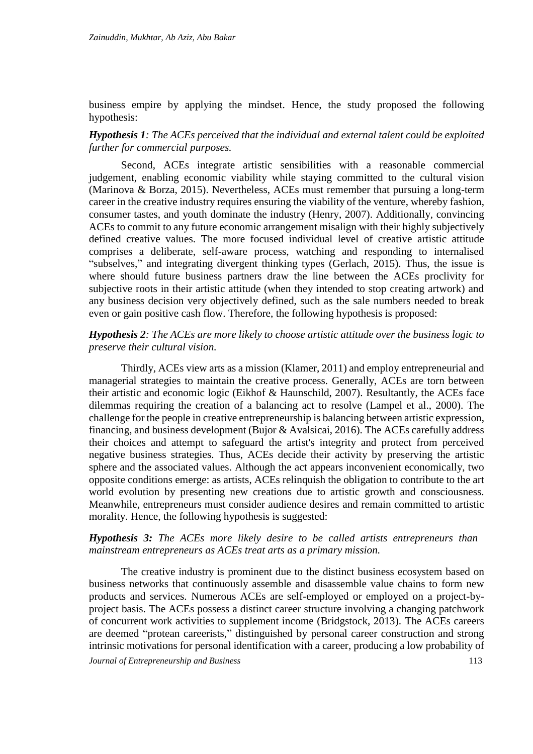business empire by applying the mindset. Hence, the study proposed the following hypothesis:

# *Hypothesis 1: The ACEs perceived that the individual and external talent could be exploited further for commercial purposes.*

Second, ACEs integrate artistic sensibilities with a reasonable commercial judgement, enabling economic viability while staying committed to the cultural vision (Marinova & Borza, 2015). Nevertheless, ACEs must remember that pursuing a long-term career in the creative industry requires ensuring the viability of the venture, whereby fashion, consumer tastes, and youth dominate the industry (Henry, 2007). Additionally, convincing ACEs to commit to any future economic arrangement misalign with their highly subjectively defined creative values. The more focused individual level of creative artistic attitude comprises a deliberate, self-aware process, watching and responding to internalised "subselves," and integrating divergent thinking types (Gerlach, 2015). Thus, the issue is where should future business partners draw the line between the ACEs proclivity for subjective roots in their artistic attitude (when they intended to stop creating artwork) and any business decision very objectively defined, such as the sale numbers needed to break even or gain positive cash flow. Therefore, the following hypothesis is proposed:

## *Hypothesis 2: The ACEs are more likely to choose artistic attitude over the business logic to preserve their cultural vision.*

Thirdly, ACEs view arts as a mission (Klamer, 2011) and employ entrepreneurial and managerial strategies to maintain the creative process. Generally, ACEs are torn between their artistic and economic logic (Eikhof & Haunschild, 2007). Resultantly, the ACEs face dilemmas requiring the creation of a balancing act to resolve (Lampel et al., 2000). The challenge for the people in creative entrepreneurship is balancing between artistic expression, financing, and business development (Bujor & Avalsicai, 2016). The ACEs carefully address their choices and attempt to safeguard the artist's integrity and protect from perceived negative business strategies. Thus, ACEs decide their activity by preserving the artistic sphere and the associated values. Although the act appears inconvenient economically, two opposite conditions emerge: as artists, ACEs relinquish the obligation to contribute to the art world evolution by presenting new creations due to artistic growth and consciousness. Meanwhile, entrepreneurs must consider audience desires and remain committed to artistic morality. Hence, the following hypothesis is suggested:

# *Hypothesis 3: The ACEs more likely desire to be called artists entrepreneurs than mainstream entrepreneurs as ACEs treat arts as a primary mission.*

The creative industry is prominent due to the distinct business ecosystem based on business networks that continuously assemble and disassemble value chains to form new products and services. Numerous ACEs are self-employed or employed on a project-byproject basis. The ACEs possess a distinct career structure involving a changing patchwork of concurrent work activities to supplement income (Bridgstock, 2013). The ACEs careers are deemed "protean careerists," distinguished by personal career construction and strong intrinsic motivations for personal identification with a career, producing a low probability of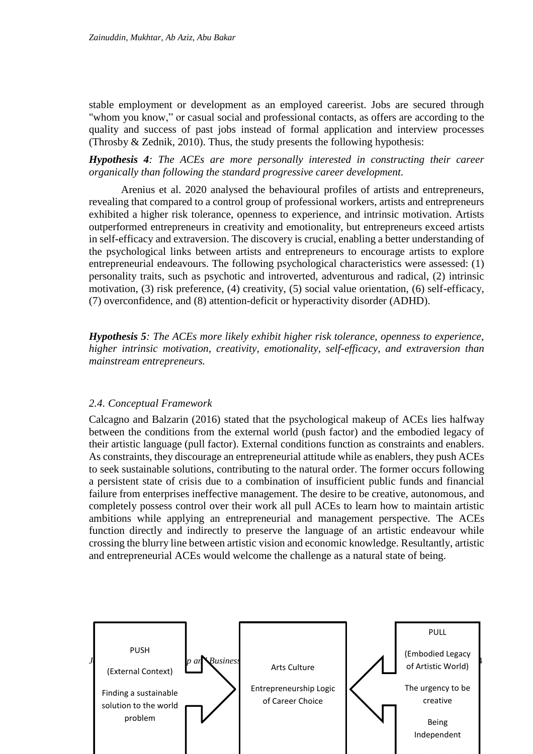stable employment or development as an employed careerist. Jobs are secured through "whom you know," or casual social and professional contacts, as offers are according to the quality and success of past jobs instead of formal application and interview processes (Throsby & Zednik, 2010). Thus, the study presents the following hypothesis:

*Hypothesis 4: The ACEs are more personally interested in constructing their career organically than following the standard progressive career development.*

Arenius et al. 2020 analysed the behavioural profiles of artists and entrepreneurs, revealing that compared to a control group of professional workers, artists and entrepreneurs exhibited a higher risk tolerance, openness to experience, and intrinsic motivation. Artists outperformed entrepreneurs in creativity and emotionality, but entrepreneurs exceed artists in self-efficacy and extraversion. The discovery is crucial, enabling a better understanding of the psychological links between artists and entrepreneurs to encourage artists to explore entrepreneurial endeavours. The following psychological characteristics were assessed: (1) personality traits, such as psychotic and introverted, adventurous and radical, (2) intrinsic motivation, (3) risk preference, (4) creativity, (5) social value orientation, (6) self-efficacy, (7) overconfidence, and (8) attention-deficit or hyperactivity disorder (ADHD).

*Hypothesis 5: The ACEs more likely exhibit higher risk tolerance, openness to experience, higher intrinsic motivation, creativity, emotionality, self-efficacy, and extraversion than mainstream entrepreneurs.*

## *2.4. Conceptual Framework*

Calcagno and Balzarin (2016) stated that the psychological makeup of ACEs lies halfway between the conditions from the external world (push factor) and the embodied legacy of their artistic language (pull factor). External conditions function as constraints and enablers. As constraints, they discourage an entrepreneurial attitude while as enablers, they push ACEs to seek sustainable solutions, contributing to the natural order. The former occurs following a persistent state of crisis due to a combination of insufficient public funds and financial failure from enterprises ineffective management. The desire to be creative, autonomous, and completely possess control over their work all pull ACEs to learn how to maintain artistic ambitions while applying an entrepreneurial and management perspective. The ACEs function directly and indirectly to preserve the language of an artistic endeavour while crossing the blurry line between artistic vision and economic knowledge. Resultantly, artistic and entrepreneurial ACEs would welcome the challenge as a natural state of being.

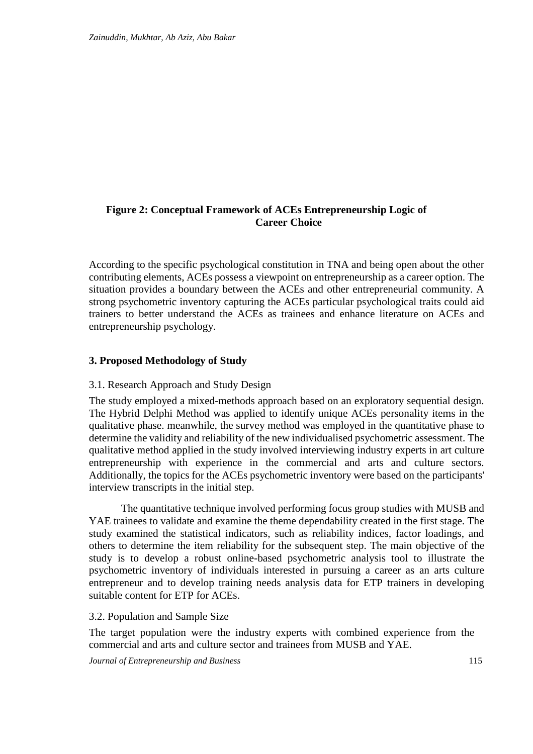# **Figure 2: Conceptual Framework of ACEs Entrepreneurship Logic of Career Choice**

According to the specific psychological constitution in TNA and being open about the other contributing elements, ACEs possess a viewpoint on entrepreneurship as a career option. The situation provides a boundary between the ACEs and other entrepreneurial community. A strong psychometric inventory capturing the ACEs particular psychological traits could aid trainers to better understand the ACEs as trainees and enhance literature on ACEs and entrepreneurship psychology.

# **3. Proposed Methodology of Study**

## 3.1. Research Approach and Study Design

The study employed a mixed-methods approach based on an exploratory sequential design. The Hybrid Delphi Method was applied to identify unique ACEs personality items in the qualitative phase. meanwhile, the survey method was employed in the quantitative phase to determine the validity and reliability of the new individualised psychometric assessment. The qualitative method applied in the study involved interviewing industry experts in art culture entrepreneurship with experience in the commercial and arts and culture sectors. Additionally, the topics for the ACEs psychometric inventory were based on the participants' interview transcripts in the initial step.

The quantitative technique involved performing focus group studies with MUSB and YAE trainees to validate and examine the theme dependability created in the first stage. The study examined the statistical indicators, such as reliability indices, factor loadings, and others to determine the item reliability for the subsequent step. The main objective of the study is to develop a robust online-based psychometric analysis tool to illustrate the psychometric inventory of individuals interested in pursuing a career as an arts culture entrepreneur and to develop training needs analysis data for ETP trainers in developing suitable content for ETP for ACEs.

# 3.2. Population and Sample Size

The target population were the industry experts with combined experience from the commercial and arts and culture sector and trainees from MUSB and YAE.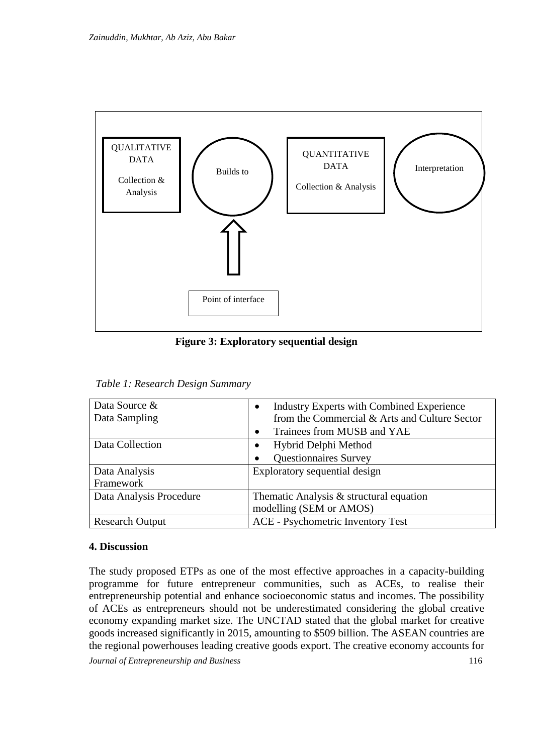

**Figure 3: Exploratory sequential design**

| Data Source &           | <b>Industry Experts with Combined Experience</b> |
|-------------------------|--------------------------------------------------|
| Data Sampling           | from the Commercial & Arts and Culture Sector    |
|                         | Trainees from MUSB and YAE                       |
| Data Collection         | Hybrid Delphi Method<br>$\bullet$                |
|                         | <b>Questionnaires Survey</b>                     |
| Data Analysis           | Exploratory sequential design                    |
| Framework               |                                                  |
| Data Analysis Procedure | Thematic Analysis $&$ structural equation        |
|                         | modelling (SEM or AMOS)                          |
| <b>Research Output</b>  | <b>ACE</b> - Psychometric Inventory Test         |

# **4. Discussion**

The study proposed ETPs as one of the most effective approaches in a capacity-building programme for future entrepreneur communities, such as ACEs, to realise their entrepreneurship potential and enhance socioeconomic status and incomes. The possibility of ACEs as entrepreneurs should not be underestimated considering the global creative economy expanding market size. The UNCTAD stated that the global market for creative goods increased significantly in 2015, amounting to \$509 billion. The ASEAN countries are the regional powerhouses leading creative goods export. The creative economy accounts for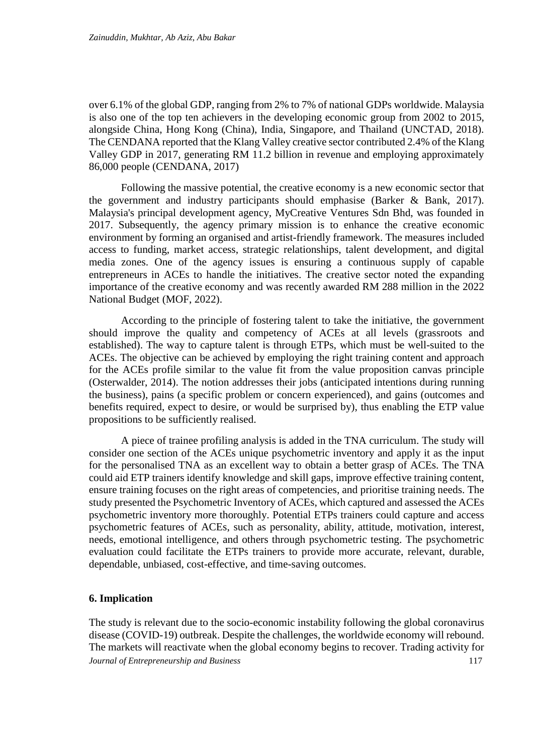over 6.1% of the global GDP, ranging from 2% to 7% of national GDPs worldwide. Malaysia is also one of the top ten achievers in the developing economic group from 2002 to 2015, alongside China, Hong Kong (China), India, Singapore, and Thailand (UNCTAD, 2018). The CENDANA reported that the Klang Valley creative sector contributed 2.4% of the Klang Valley GDP in 2017, generating RM 11.2 billion in revenue and employing approximately 86,000 people (CENDANA, 2017)

Following the massive potential, the creative economy is a new economic sector that the government and industry participants should emphasise (Barker & Bank, 2017). Malaysia's principal development agency, MyCreative Ventures Sdn Bhd, was founded in 2017. Subsequently, the agency primary mission is to enhance the creative economic environment by forming an organised and artist-friendly framework. The measures included access to funding, market access, strategic relationships, talent development, and digital media zones. One of the agency issues is ensuring a continuous supply of capable entrepreneurs in ACEs to handle the initiatives. The creative sector noted the expanding importance of the creative economy and was recently awarded RM 288 million in the 2022 National Budget (MOF, 2022).

According to the principle of fostering talent to take the initiative, the government should improve the quality and competency of ACEs at all levels (grassroots and established). The way to capture talent is through ETPs, which must be well-suited to the ACEs. The objective can be achieved by employing the right training content and approach for the ACEs profile similar to the value fit from the value proposition canvas principle (Osterwalder, 2014). The notion addresses their jobs (anticipated intentions during running the business), pains (a specific problem or concern experienced), and gains (outcomes and benefits required, expect to desire, or would be surprised by), thus enabling the ETP value propositions to be sufficiently realised.

A piece of trainee profiling analysis is added in the TNA curriculum. The study will consider one section of the ACEs unique psychometric inventory and apply it as the input for the personalised TNA as an excellent way to obtain a better grasp of ACEs. The TNA could aid ETP trainers identify knowledge and skill gaps, improve effective training content, ensure training focuses on the right areas of competencies, and prioritise training needs. The study presented the Psychometric Inventory of ACEs, which captured and assessed the ACEs psychometric inventory more thoroughly. Potential ETPs trainers could capture and access psychometric features of ACEs, such as personality, ability, attitude, motivation, interest, needs, emotional intelligence, and others through psychometric testing. The psychometric evaluation could facilitate the ETPs trainers to provide more accurate, relevant, durable, dependable, unbiased, cost-effective, and time-saving outcomes.

# **6. Implication**

*Journal of Entrepreneurship and Business* 117 The study is relevant due to the socio-economic instability following the global coronavirus disease (COVID-19) outbreak. Despite the challenges, the worldwide economy will rebound. The markets will reactivate when the global economy begins to recover. Trading activity for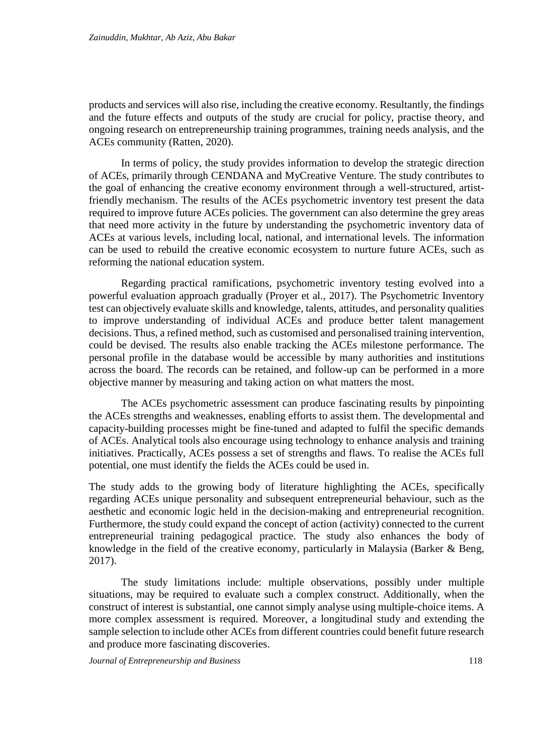products and services will also rise, including the creative economy. Resultantly, the findings and the future effects and outputs of the study are crucial for policy, practise theory, and ongoing research on entrepreneurship training programmes, training needs analysis, and the ACEs community (Ratten, 2020).

In terms of policy, the study provides information to develop the strategic direction of ACEs, primarily through CENDANA and MyCreative Venture. The study contributes to the goal of enhancing the creative economy environment through a well-structured, artistfriendly mechanism. The results of the ACEs psychometric inventory test present the data required to improve future ACEs policies. The government can also determine the grey areas that need more activity in the future by understanding the psychometric inventory data of ACEs at various levels, including local, national, and international levels. The information can be used to rebuild the creative economic ecosystem to nurture future ACEs, such as reforming the national education system.

Regarding practical ramifications, psychometric inventory testing evolved into a powerful evaluation approach gradually (Proyer et al., 2017). The Psychometric Inventory test can objectively evaluate skills and knowledge, talents, attitudes, and personality qualities to improve understanding of individual ACEs and produce better talent management decisions. Thus, a refined method, such as customised and personalised training intervention, could be devised. The results also enable tracking the ACEs milestone performance. The personal profile in the database would be accessible by many authorities and institutions across the board. The records can be retained, and follow-up can be performed in a more objective manner by measuring and taking action on what matters the most.

The ACEs psychometric assessment can produce fascinating results by pinpointing the ACEs strengths and weaknesses, enabling efforts to assist them. The developmental and capacity-building processes might be fine-tuned and adapted to fulfil the specific demands of ACEs. Analytical tools also encourage using technology to enhance analysis and training initiatives. Practically, ACEs possess a set of strengths and flaws. To realise the ACEs full potential, one must identify the fields the ACEs could be used in.

The study adds to the growing body of literature highlighting the ACEs, specifically regarding ACEs unique personality and subsequent entrepreneurial behaviour, such as the aesthetic and economic logic held in the decision-making and entrepreneurial recognition. Furthermore, the study could expand the concept of action (activity) connected to the current entrepreneurial training pedagogical practice. The study also enhances the body of knowledge in the field of the creative economy, particularly in Malaysia (Barker & Beng, 2017).

The study limitations include: multiple observations, possibly under multiple situations, may be required to evaluate such a complex construct. Additionally, when the construct of interest is substantial, one cannot simply analyse using multiple-choice items. A more complex assessment is required. Moreover, a longitudinal study and extending the sample selection to include other ACEs from different countries could benefit future research and produce more fascinating discoveries.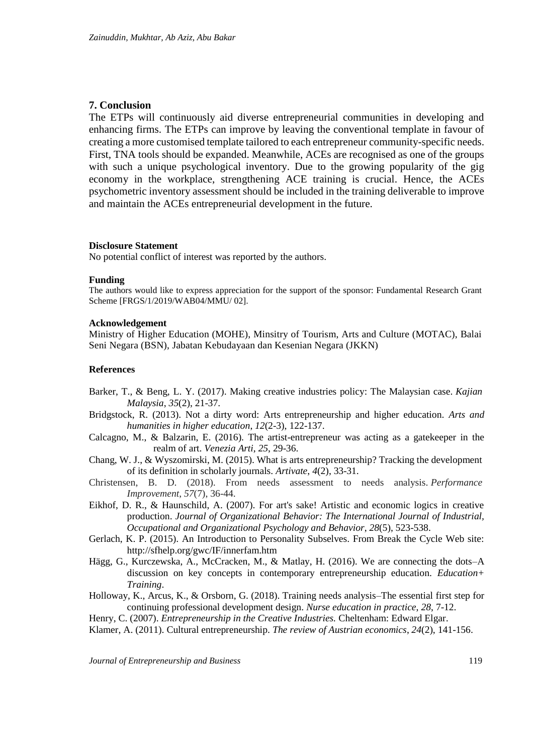## **7. Conclusion**

The ETPs will continuously aid diverse entrepreneurial communities in developing and enhancing firms. The ETPs can improve by leaving the conventional template in favour of creating a more customised template tailored to each entrepreneur community-specific needs. First, TNA tools should be expanded. Meanwhile, ACEs are recognised as one of the groups with such a unique psychological inventory. Due to the growing popularity of the gig economy in the workplace, strengthening ACE training is crucial. Hence, the ACEs psychometric inventory assessment should be included in the training deliverable to improve and maintain the ACEs entrepreneurial development in the future.

#### **Disclosure Statement**

No potential conflict of interest was reported by the authors.

#### **Funding**

The authors would like to express appreciation for the support of the sponsor: Fundamental Research Grant Scheme [FRGS/1/2019/WAB04/MMU/ 02].

#### **Acknowledgement**

Ministry of Higher Education (MOHE), Minsitry of Tourism, Arts and Culture (MOTAC), Balai Seni Negara (BSN), Jabatan Kebudayaan dan Kesenian Negara (JKKN)

#### **References**

- Barker, T., & Beng, L. Y. (2017). Making creative industries policy: The Malaysian case. *Kajian Malaysia*, *35*(2), 21-37.
- Bridgstock, R. (2013). Not a dirty word: Arts entrepreneurship and higher education. *Arts and humanities in higher education*, *12*(2-3), 122-137.
- Calcagno, M., & Balzarin, E. (2016). The artist-entrepreneur was acting as a gatekeeper in the realm of art. *Venezia Arti*, *25*, 29-36.
- Chang, W. J., & Wyszomirski, M. (2015). What is arts entrepreneurship? Tracking the development of its definition in scholarly journals. *Artivate*, *4*(2), 33-31.
- Christensen, B. D. (2018). From needs assessment to needs analysis. *Performance Improvement*, *57*(7), 36-44.
- Eikhof, D. R., & Haunschild, A. (2007). For art's sake! Artistic and economic logics in creative production. *Journal of Organizational Behavior: The International Journal of Industrial, Occupational and Organizational Psychology and Behavior*, *28*(5), 523-538.
- Gerlach, K. P. (2015). An Introduction to Personality Subselves. From Break the Cycle Web site: http://sfhelp.org/gwc/IF/innerfam.htm
- Hägg, G., Kurczewska, A., McCracken, M., & Matlay, H. (2016). We are connecting the dots–A discussion on key concepts in contemporary entrepreneurship education. *Education+ Training*.
- Holloway, K., Arcus, K., & Orsborn, G. (2018). Training needs analysis–The essential first step for continuing professional development design. *Nurse education in practice*, *28*, 7-12.

Henry, C. (2007). *Entrepreneurship in the Creative Industries.* Cheltenham: Edward Elgar.

Klamer, A. (2011). Cultural entrepreneurship. *The review of Austrian economics*, *24*(2), 141-156.